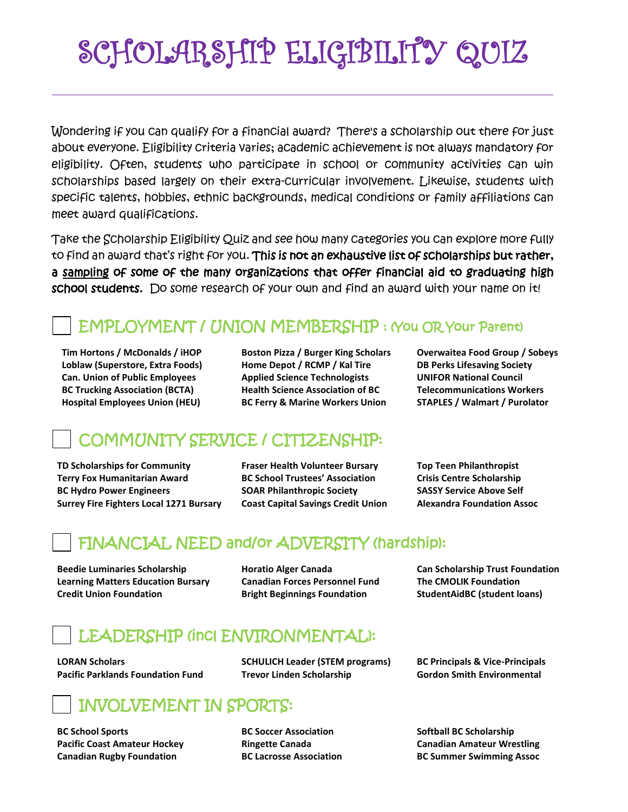# SCHOLARSHIP ELIGIBILITY QUIZ

Wondering if you can qualify for a financial award? There's a scholarship out there for just about everyone. Eligibility criteria varies; academic achievement is not always mandatory for eligibility. Often, students who participate in school or community activities can win scholarships based largely on their extra-curricular involvement. Likewise, students with specific talents, hobbies, ethnic backgrounds, medical conditions or family affiliations can meet award qualifications.

Take the Scholarship Eligibility Quiz and see how many categories you can explore more fully to find an award that's right for you. This is not an exhaustive list of scholarships but rather, a sampling of some of the many organizations that offer financial aid to graduating high school students. Do some research of your own and find an award with your name on it!

### EMPLOYMENT / UNION MEMBERSHIP : (You OR Your Parent)

 **Can. Union of Public Employees Applied Science Technologists** 

**Tim Hortons / McDonalds / iHOP Boston Pizza / Burger King Scholars Overwaitea Food Group / Sobeys Loblaw (Superstore, Extra Foods) Home Depot / RCMP / Kal Tire DB Perks Lifesaving Society BC Trucking Association (BCTA) Health Science Association of BC Telecommunications Workers Hospital Employees Union (HEU) BC Ferry & Marine Workers Union STAPLES / Walmart / Purolator**

### COMMUNITY SERVICE / CITIZENSHIP:

**TD Scholarships for Community Fraser Health Volunteer Bursary Top Teen Philanthropist Terry Fox Humanitarian Award BC School Trustees' Association Crisis Centre Scholarship BC Hydro Power Engineers SOAR Philanthropic Society SASSY Service Above Self Surrey Fire Fighters Local 1271 Bursary Coast Capital Savings Credit Union Alexandra Foundation Assoc**

#### FINANCIAL NEED and/or ADVERSITY (hardship):

**Beedie Luminaries Scholarship Horatio Alger Canada Can Scholarship Trust Foundation Learning Matters Education Bursary Canadian Forces Personnel Fund The CMOLIK Foundation Credit Union Foundation <b>Bright Beginnings Foundation StudentAidBC (student loans) Credit Union Foundation** 

#### LEADERSHIP (incl ENVIRONMENTAL):

**LORAN Scholars SCHULICH Leader (STEM programs) BC Principals & Vice-Principals Pacific Parklands Foundation Fund Trevor Linden Scholarship Gordon Smith Environmental**

# INVOLVEMENT IN SPORTS:

**BC School Sports BC Soccer Association BC Softball BC Scholarship** 

**Pacific Coast Amateur Hockey Ringette Canada Canadian Amateur Wrestling Canadian Rugby Foundation BC Lacrosse Association BC Summer Swimming Assoc**